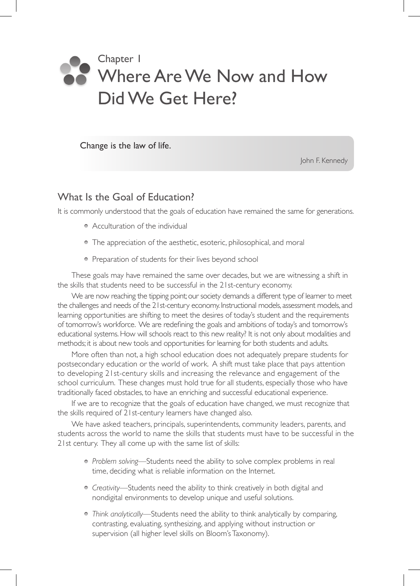# Chapter 1 Where Are We Now and How Did We Get Here?

Change is the law of life.

John F. Kennedy

## What Is the Goal of Education?

It is commonly understood that the goals of education have remained the same for generations.

- Acculturation of the individual
- The appreciation of the aesthetic, esoteric, philosophical, and moral
- Preparation of students for their lives beyond school

These goals may have remained the same over decades, but we are witnessing a shift in the skills that students need to be successful in the 21st-century economy.

We are now reaching the tipping point; our society demands a different type of learner to meet the challenges and needs of the 21st-century economy. Instructional models, assessment models, and learning opportunities are shifting to meet the desires of today's student and the requirements of tomorrow's workforce. We are redefining the goals and ambitions of today's and tomorrow's educational systems. How will schools react to this new reality? It is not only about modalities and methods; it is about new tools and opportunities for learning for both students and adults.

More often than not, a high school education does not adequately prepare students for postsecondary education or the world of work. A shift must take place that pays attention to developing 21st-century skills and increasing the relevance and engagement of the school curriculum. These changes must hold true for all students, especially those who have traditionally faced obstacles, to have an enriching and successful educational experience.

If we are to recognize that the goals of education have changed, we must recognize that the skills required of 21st-century learners have changed also.

We have asked teachers, principals, superintendents, community leaders, parents, and students across the world to name the skills that students must have to be successful in the 21st century. They all come up with the same list of skills:

- *Problem solving*—Students need the ability to solve complex problems in real time, deciding what is reliable information on the Internet.
- *Creativity*—Students need the ability to think creatively in both digital and nondigital environments to develop unique and useful solutions.
- *Think analytically*—Students need the ability to think analytically by comparing, contrasting, evaluating, synthesizing, and applying without instruction or supervision (all higher level skills on Bloom's Taxonomy).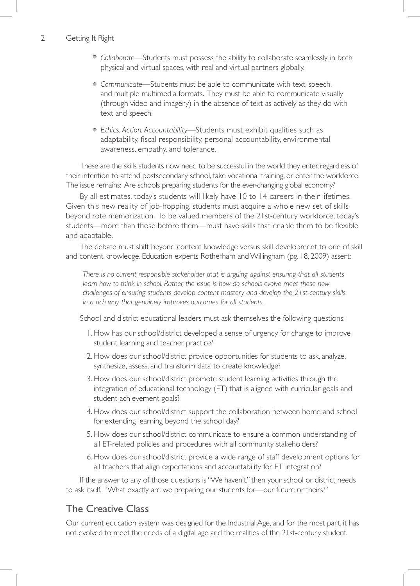#### 2 Getting It Right

- *Collaborate*—Students must possess the ability to collaborate seamlessly in both physical and virtual spaces, with real and virtual partners globally.
- *Communicate*—Students must be able to communicate with text, speech, and multiple multimedia formats. They must be able to communicate visually (through video and imagery) in the absence of text as actively as they do with text and speech.
- *Ethics, Action, Accountability*—Students must exhibit qualities such as adaptability, fiscal responsibility, personal accountability, environmental awareness, empathy, and tolerance.

These are the skills students now need to be successful in the world they enter, regardless of their intention to attend postsecondary school, take vocational training, or enter the workforce. The issue remains: Are schools preparing students for the ever-changing global economy?

By all estimates, today's students will likely have 10 to 14 careers in their lifetimes. Given this new reality of job-hopping, students must acquire a whole new set of skills beyond rote memorization. To be valued members of the 21st-century workforce, today's students—more than those before them—must have skills that enable them to be flexible and adaptable.

The debate must shift beyond content knowledge versus skill development to one of skill and content knowledge. Education experts Rotherham and Willingham (pg. 18, 2009) assert:

*There is no current responsible stakeholder that is arguing against ensuring that all students learn how to think in school. Rather, the issue is how do schools evolve meet these new challenges of ensuring students develop content mastery and develop the 21st-century skills in a rich way that genuinely improves outcomes for all students.* 

School and district educational leaders must ask themselves the following questions:

- 1. How has our school/district developed a sense of urgency for change to improve student learning and teacher practice?
- 2. How does our school/district provide opportunities for students to ask, analyze, synthesize, assess, and transform data to create knowledge?
- 3. How does our school/district promote student learning activities through the integration of educational technology (ET) that is aligned with curricular goals and student achievement goals?
- 4. How does our school/district support the collaboration between home and school for extending learning beyond the school day?
- 5. How does our school/district communicate to ensure a common understanding of all ET-related policies and procedures with all community stakeholders?
- 6. How does our school/district provide a wide range of staff development options for all teachers that align expectations and accountability for ET integration?

If the answer to any of those questions is "We haven't," then your school or district needs to ask itself, "What exactly are we preparing our students for—our future or theirs?"

## The Creative Class

Our current education system was designed for the Industrial Age, and for the most part, it has not evolved to meet the needs of a digital age and the realities of the 21st-century student.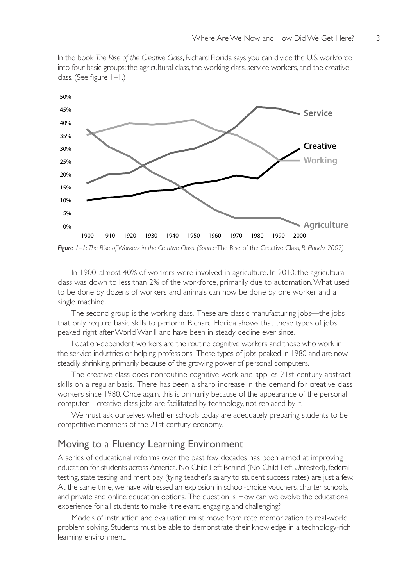In the book *The Rise of the Creative Class*, Richard Florida says you can divide the U.S. workforce into four basic groups: the agricultural class, the working class, service workers, and the creative class. (See figure  $1-1$ .)



*Figure 1–1: The Rise of Workers in the Creative Class. (Source:*The Rise of the Creative Class, *R. Florida, 2002)*

In 1900, almost 40% of workers were involved in agriculture. In 2010, the agricultural class was down to less than 2% of the workforce, primarily due to automation. What used to be done by dozens of workers and animals can now be done by one worker and a single machine.

The second group is the working class. These are classic manufacturing jobs—the jobs that only require basic skills to perform. Richard Florida shows that these types of jobs peaked right after World War II and have been in steady decline ever since.

Location-dependent workers are the routine cognitive workers and those who work in the service industries or helping professions. These types of jobs peaked in 1980 and are now steadily shrinking, primarily because of the growing power of personal computers.

The creative class does nonroutine cognitive work and applies 21st-century abstract skills on a regular basis. There has been a sharp increase in the demand for creative class workers since 1980. Once again, this is primarily because of the appearance of the personal computer—creative class jobs are facilitated by technology, not replaced by it.

We must ask ourselves whether schools today are adequately preparing students to be competitive members of the 21st-century economy.

## Moving to a Fluency Learning Environment

A series of educational reforms over the past few decades has been aimed at improving education for students across America. No Child Left Behind (No Child Left Untested), federal testing, state testing, and merit pay (tying teacher's salary to student success rates) are just a few. At the same time, we have witnessed an explosion in school-choice vouchers, charter schools, and private and online education options. The question is: How can we evolve the educational experience for all students to make it relevant, engaging, and challenging?

Models of instruction and evaluation must move from rote memorization to real-world problem solving. Students must be able to demonstrate their knowledge in a technology-rich learning environment.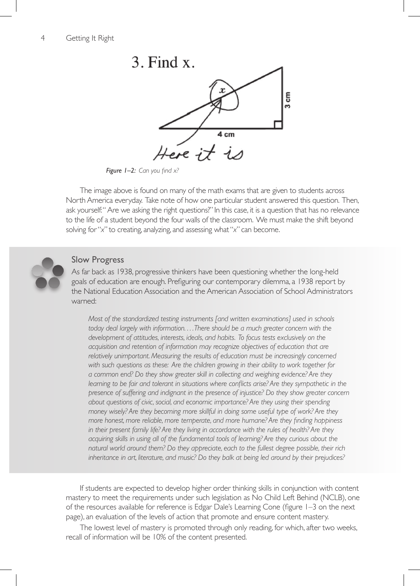

*Figure 1–2: Can you find x?*

The image above is found on many of the math exams that are given to students across North America everyday. Take note of how one particular student answered this question. Then, ask yourself: " Are we asking the right questions?" In this case, it is a question that has no relevance to the life of a student beyond the four walls of the classroom. We must make the shift beyond solving for "*x*" to creating, analyzing, and assessing what "*x*" can become.



#### Slow Progress

As far back as 1938, progressive thinkers have been questioning whether the long-held goals of education are enough. Prefiguring our contemporary dilemma, a 1938 report by the National Education Association and the American Association of School Administrators warned:

*Most of the standardized testing instruments [and written examinations] used in schools today deal largely with information. . . . There should be a much greater concern with the development of attitudes, interests, ideals, and habits. To focus tests exclusively on the acquisition and retention of information may recognize objectives of education that are relatively unimportant. Measuring the results of education must be increasingly concerned with such questions as these: Are the children growing in their ability to work together for a common end? Do they show greater skill in collecting and weighing evidence? Are they*  learning to be fair and tolerant in situations where conflicts arise? Are they sympathetic in the *presence of suffering and indignant in the presence of injustice? Do they show greater concern about questions of civic, social, and economic importance? Are they using their spending money wisely? Are they becoming more skillful in doing some useful type of work? Are they more honest, more reliable, more temperate, and more humane? Are they finding happiness in their present family life? Are they living in accordance with the rules of health? Are they acquiring skills in using all of the fundamental tools of learning? Are they curious about the natural world around them? Do they appreciate, each to the fullest degree possible, their rich inheritance in art, literature, and music? Do they balk at being led around by their prejudices?*

If students are expected to develop higher order thinking skills in conjunction with content mastery to meet the requirements under such legislation as No Child Left Behind (NCLB), one of the resources available for reference is Edgar Dale's Learning Cone (figure 1–3 on the next page), an evaluation of the levels of action that promote and ensure content mastery.

The lowest level of mastery is promoted through only reading, for which, after two weeks, recall of information will be 10% of the content presented.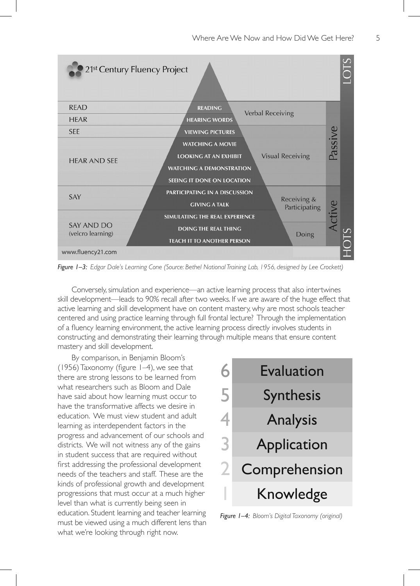

*Figure 1–3: Edgar Dale's Learning Cone (Source: Bethel National Training Lab, 1956, designed by Lee Crockett)*

Conversely, simulation and experience—an active learning process that also intertwines skill development—leads to 90% recall after two weeks. If we are aware of the huge effect that active learning and skill development have on content mastery, why are most schools teacher centered and using practice learning through full frontal lecture? Through the implementation of a fluency learning environment, the active learning process directly involves students in constructing and demonstrating their learning through multiple means that ensure content mastery and skill development.

By comparison, in Benjamin Bloom's (1956) Taxonomy (figure 1–4), we see that there are strong lessons to be learned from what researchers such as Bloom and Dale have said about how learning must occur to have the transformative affects we desire in education. We must view student and adult learning as interdependent factors in the progress and advancement of our schools and districts. We will not witness any of the gains in student success that are required without first addressing the professional development needs of the teachers and staff. These are the kinds of professional growth and development progressions that must occur at a much higher level than what is currently being seen in education. Student learning and teacher learning must be viewed using a much different lens than what we're looking through right now.



*Figure 1–4: Bloom's Digital Taxonomy (original)*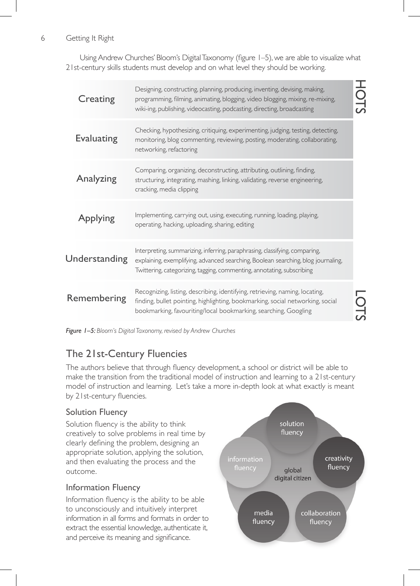## 6 Getting It Right

Using Andrew Churches' Bloom's Digital Taxonomy (figure 1–5), we are able to visualize what 21st-century skills students must develop and on what level they should be working.

|  | Creating             | Designing, constructing, planning, producing, inventing, devising, making,<br>programming, filming, animating, blogging, video blogging, mixing, re-mixing,<br>wiki-ing, publishing, videocasting, podcasting, directing, broadcasting     | $\frac{1}{2}$ |
|--|----------------------|--------------------------------------------------------------------------------------------------------------------------------------------------------------------------------------------------------------------------------------------|---------------|
|  | <b>Evaluating</b>    | Checking, hypothesizing, critiquing, experimenting, judging, testing, detecting,<br>monitoring, blog commenting, reviewing, posting, moderating, collaborating,<br>networking, refactoring                                                 |               |
|  | Analyzing            | Comparing, organizing, deconstructing, attributing, outlining, finding,<br>structuring, integrating, mashing, linking, validating, reverse engineering,<br>cracking, media clipping                                                        |               |
|  | Applying             | Implementing, carrying out, using, executing, running, loading, playing,<br>operating, hacking, uploading, sharing, editing                                                                                                                |               |
|  | <b>Understanding</b> | Interpreting, summarizing, inferring, paraphrasing, classifying, comparing,<br>explaining, exemplifying, advanced searching, Boolean searching, blog journaling,<br>Twittering, categorizing, tagging, commenting, annotating, subscribing |               |
|  | Remembering          | Recognizing, listing, describing, identifying, retrieving, naming, locating,<br>finding, bullet pointing, highlighting, bookmarking, social networking, social<br>bookmarking, favouriting/local bookmarking, searching, Googling          |               |

*Figure 1–5: Bloom's Digital Taxonomy, revised by Andrew Churches*

# The 21st-Century Fluencies

The authors believe that through fluency development, a school or district will be able to make the transition from the traditional model of instruction and learning to a 21st-century model of instruction and learning. Let's take a more in-depth look at what exactly is meant by 21st-century fluencies.

## Solution Fluency

Solution fluency is the ability to think creatively to solve problems in real time by clearly defining the problem, designing an appropriate solution, applying the solution, and then evaluating the process and the outcome.

## Information Fluency

Information fluency is the ability to be able to unconsciously and intuitively interpret information in all forms and formats in order to extract the essential knowledge, authenticate it, and perceive its meaning and significance.

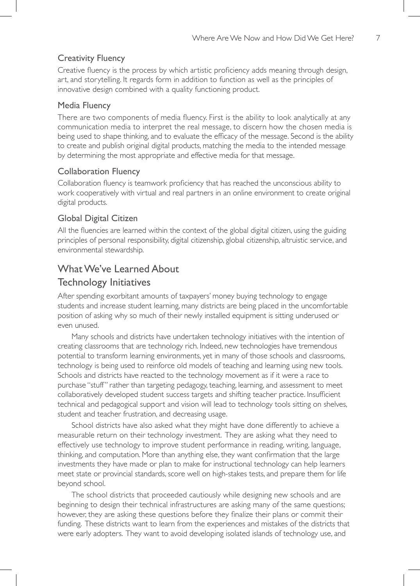### Creativity Fluency

Creative fluency is the process by which artistic proficiency adds meaning through design, art, and storytelling. It regards form in addition to function as well as the principles of innovative design combined with a quality functioning product.

#### Media Fluency

There are two components of media fluency. First is the ability to look analytically at any communication media to interpret the real message, to discern how the chosen media is being used to shape thinking, and to evaluate the efficacy of the message. Second is the ability to create and publish original digital products, matching the media to the intended message by determining the most appropriate and effective media for that message.

### Collaboration Fluency

Collaboration fluency is teamwork proficiency that has reached the unconscious ability to work cooperatively with virtual and real partners in an online environment to create original digital products.

## Global Digital Citizen

All the fluencies are learned within the context of the global digital citizen, using the guiding principles of personal responsibility, digital citizenship, global citizenship, altruistic service, and environmental stewardship.

## WhatWe've Learned About Technology Initiatives

After spending exorbitant amounts of taxpayers' money buying technology to engage students and increase student learning, many districts are being placed in the uncomfortable position of asking why so much of their newly installed equipment is sitting underused or even unused.

Many schools and districts have undertaken technology initiatives with the intention of creating classrooms that are technology rich. Indeed, new technologies have tremendous potential to transform learning environments, yet in many of those schools and classrooms, technology is being used to reinforce old models of teaching and learning using new tools. Schools and districts have reacted to the technology movement as if it were a race to purchase "stuff" rather than targeting pedagogy, teaching, learning, and assessment to meet collaboratively developed student success targets and shifting teacher practice. Insufficient technical and pedagogical support and vision will lead to technology tools sitting on shelves, student and teacher frustration, and decreasing usage.

School districts have also asked what they might have done differently to achieve a measurable return on their technology investment. They are asking what they need to effectively use technology to improve student performance in reading, writing, language, thinking, and computation. More than anything else, they want confirmation that the large investments they have made or plan to make for instructional technology can help learners meet state or provincial standards, score well on high-stakes tests, and prepare them for life beyond school.

The school districts that proceeded cautiously while designing new schools and are beginning to design their technical infrastructures are asking many of the same questions; however, they are asking these questions before they finalize their plans or commit their funding. These districts want to learn from the experiences and mistakes of the districts that were early adopters. They want to avoid developing isolated islands of technology use, and